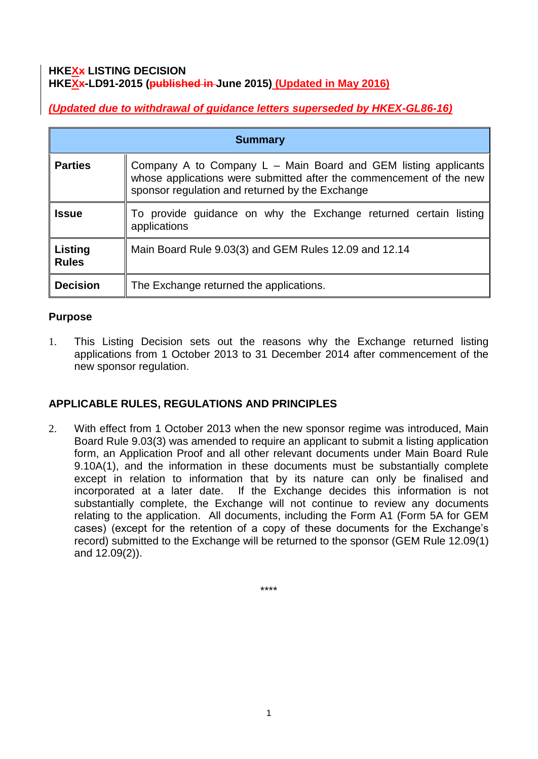#### **HKEXx LISTING DECISION HKEXx-LD91-2015 (published in June 2015) (Updated in May 2016)**

*(Updated due to withdrawal of guidance letters superseded by HKEX-GL86-16)*

| <b>Summary</b>          |                                                                                                                                                                                          |
|-------------------------|------------------------------------------------------------------------------------------------------------------------------------------------------------------------------------------|
| <b>Parties</b>          | Company A to Company L – Main Board and GEM listing applicants<br>whose applications were submitted after the commencement of the new<br>sponsor regulation and returned by the Exchange |
| <b>Issue</b>            | To provide guidance on why the Exchange returned certain listing<br>applications                                                                                                         |
| Listing<br><b>Rules</b> | Main Board Rule 9.03(3) and GEM Rules 12.09 and 12.14                                                                                                                                    |
| <b>Decision</b>         | The Exchange returned the applications.                                                                                                                                                  |

### **Purpose**

1. This Listing Decision sets out the reasons why the Exchange returned listing applications from 1 October 2013 to 31 December 2014 after commencement of the new sponsor regulation.

# **APPLICABLE RULES, REGULATIONS AND PRINCIPLES**

2. With effect from 1 October 2013 when the new sponsor regime was introduced, Main Board Rule 9.03(3) was amended to require an applicant to submit a listing application form, an Application Proof and all other relevant documents under Main Board Rule 9.10A(1), and the information in these documents must be substantially complete except in relation to information that by its nature can only be finalised and incorporated at a later date. If the Exchange decides this information is not substantially complete, the Exchange will not continue to review any documents relating to the application. All documents, including the Form A1 (Form 5A for GEM cases) (except for the retention of a copy of these documents for the Exchange's record) submitted to the Exchange will be returned to the sponsor (GEM Rule 12.09(1) and 12.09(2)).

\*\*\*\*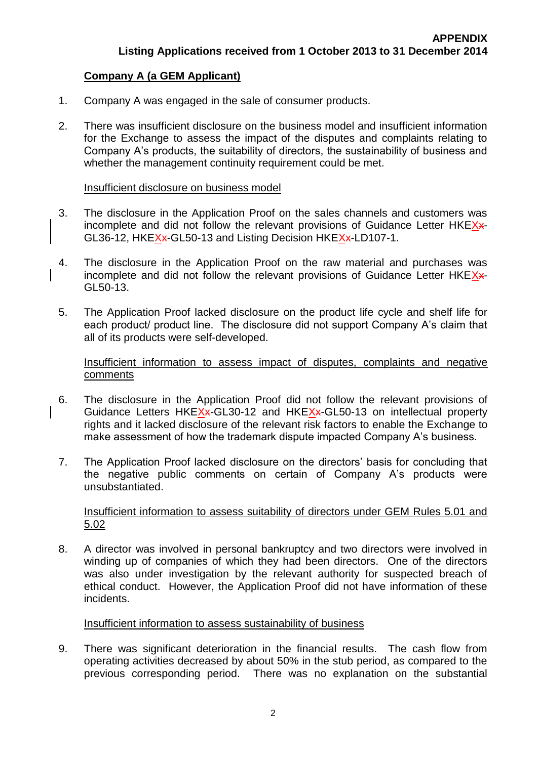# **Company A (a GEM Applicant)**

- 1. Company A was engaged in the sale of consumer products.
- 2. There was insufficient disclosure on the business model and insufficient information for the Exchange to assess the impact of the disputes and complaints relating to Company A's products, the suitability of directors, the sustainability of business and whether the management continuity requirement could be met.

#### Insufficient disclosure on business model

- 3. The disclosure in the Application Proof on the sales channels and customers was incomplete and did not follow the relevant provisions of Guidance Letter  $HKEX+$ GL36-12, HKEXx-GL50-13 and Listing Decision HKEXx-LD107-1.
- 4. The disclosure in the Application Proof on the raw material and purchases was incomplete and did not follow the relevant provisions of Guidance Letter HKEX\*-GL50-13.
- 5. The Application Proof lacked disclosure on the product life cycle and shelf life for each product/ product line. The disclosure did not support Company A's claim that all of its products were self-developed.

Insufficient information to assess impact of disputes, complaints and negative comments

- 6. The disclosure in the Application Proof did not follow the relevant provisions of Guidance Letters HKEXx-GL30-12 and HKEXx-GL50-13 on intellectual property rights and it lacked disclosure of the relevant risk factors to enable the Exchange to make assessment of how the trademark dispute impacted Company A's business.
- 7. The Application Proof lacked disclosure on the directors' basis for concluding that the negative public comments on certain of Company A's products were unsubstantiated.

#### Insufficient information to assess suitability of directors under GEM Rules 5.01 and 5.02

8. A director was involved in personal bankruptcy and two directors were involved in winding up of companies of which they had been directors. One of the directors was also under investigation by the relevant authority for suspected breach of ethical conduct. However, the Application Proof did not have information of these incidents.

### Insufficient information to assess sustainability of business

9. There was significant deterioration in the financial results. The cash flow from operating activities decreased by about 50% in the stub period, as compared to the previous corresponding period. There was no explanation on the substantial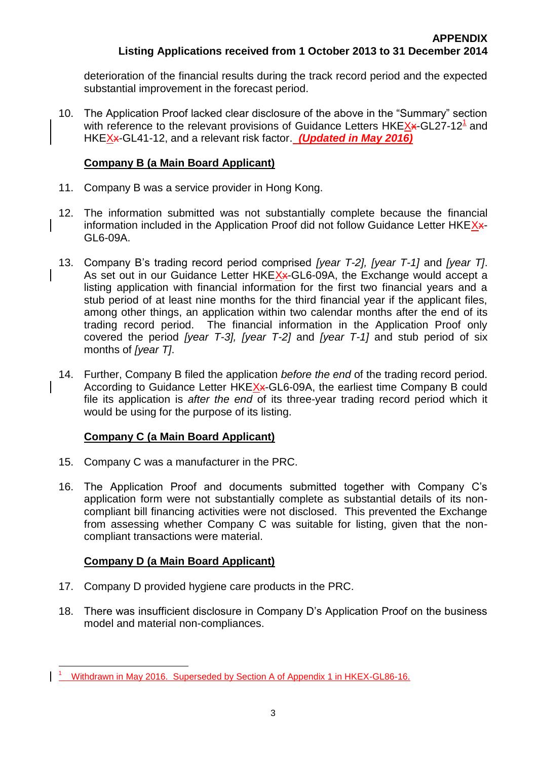deterioration of the financial results during the track record period and the expected substantial improvement in the forecast period.

10. The Application Proof lacked clear disclosure of the above in the "Summary" section with reference to the relevant provisions of Guidance Letters HKEXx-GL27-12<sup>1</sup> and HKEXx-GL41-12, and a relevant risk factor. *(Updated in May 2016)*

# **Company B (a Main Board Applicant)**

- 11. Company B was a service provider in Hong Kong.
- 12. The information submitted was not substantially complete because the financial information included in the Application Proof did not follow Guidance Letter HKEX\*-GL6-09A.
- 13. Company B's trading record period comprised *[year T-2], [year T-1]* and *[year T]*. As set out in our Guidance Letter HKEXx-GL6-09A, the Exchange would accept a listing application with financial information for the first two financial years and a stub period of at least nine months for the third financial year if the applicant files, among other things, an application within two calendar months after the end of its trading record period. The financial information in the Application Proof only covered the period *[year T-3], [year T-2]* and *[year T-1]* and stub period of six months of *[year T]*.
- 14. Further, Company B filed the application *before the end* of the trading record period. According to Guidance Letter HKEXx-GL6-09A, the earliest time Company B could file its application is *after the end* of its three-year trading record period which it would be using for the purpose of its listing.

# **Company C (a Main Board Applicant)**

- 15. Company C was a manufacturer in the PRC.
- 16. The Application Proof and documents submitted together with Company C's application form were not substantially complete as substantial details of its noncompliant bill financing activities were not disclosed. This prevented the Exchange from assessing whether Company C was suitable for listing, given that the noncompliant transactions were material.

# **Company D (a Main Board Applicant)**

- 17. Company D provided hygiene care products in the PRC.
- 18. There was insufficient disclosure in Company D's Application Proof on the business model and material non-compliances.

 $\overline{a}$  $1<sup>1</sup>$  Withdrawn in May 2016. Superseded by Section A of Appendix 1 in HKEX-GL86-16.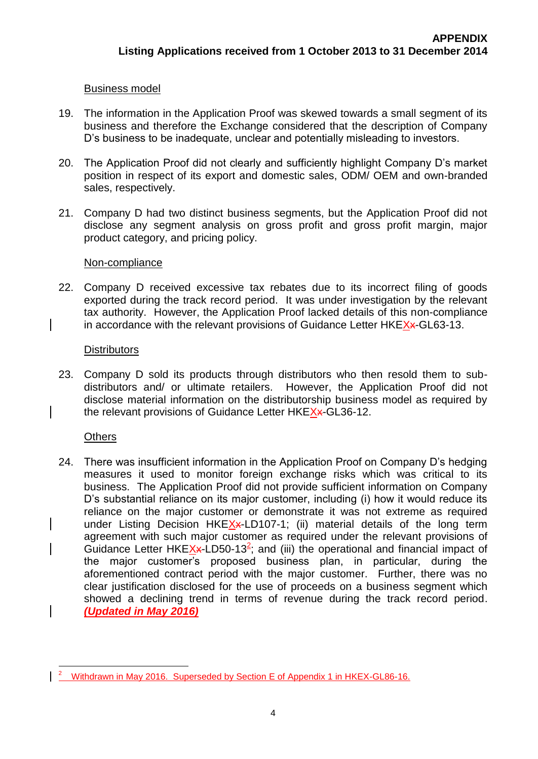#### Business model

- 19. The information in the Application Proof was skewed towards a small segment of its business and therefore the Exchange considered that the description of Company D's business to be inadequate, unclear and potentially misleading to investors.
- 20. The Application Proof did not clearly and sufficiently highlight Company D's market position in respect of its export and domestic sales, ODM/ OEM and own-branded sales, respectively.
- 21. Company D had two distinct business segments, but the Application Proof did not disclose any segment analysis on gross profit and gross profit margin, major product category, and pricing policy.

#### Non-compliance

22. Company D received excessive tax rebates due to its incorrect filing of goods exported during the track record period. It was under investigation by the relevant tax authority. However, the Application Proof lacked details of this non-compliance in accordance with the relevant provisions of Guidance Letter HKEXx-GL63-13.

#### **Distributors**

23. Company D sold its products through distributors who then resold them to subdistributors and/ or ultimate retailers. However, the Application Proof did not disclose material information on the distributorship business model as required by the relevant provisions of Guidance Letter HKEX<sub>\*</sub>-GL36-12.

#### **Others**

24. There was insufficient information in the Application Proof on Company D's hedging measures it used to monitor foreign exchange risks which was critical to its business. The Application Proof did not provide sufficient information on Company D's substantial reliance on its major customer, including (i) how it would reduce its reliance on the major customer or demonstrate it was not extreme as required under Listing Decision HKE $X$ x-LD107-1; (ii) material details of the long term agreement with such major customer as required under the relevant provisions of Guidance Letter HKE $X^2$ -LD50-13<sup>2</sup>; and (iii) the operational and financial impact of the major customer's proposed business plan, in particular, during the aforementioned contract period with the major customer. Further, there was no clear justification disclosed for the use of proceeds on a business segment which showed a declining trend in terms of revenue during the track record period. *(Updated in May 2016)*

 $\overline{a}$ <sup>2</sup> Withdrawn in May 2016. Superseded by Section E of Appendix 1 in HKEX-GL86-16.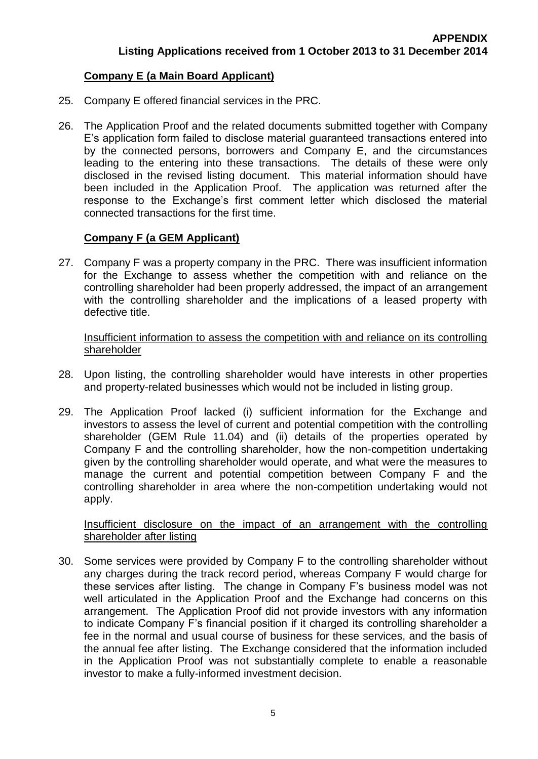# **Company E (a Main Board Applicant)**

- 25. Company E offered financial services in the PRC.
- 26. The Application Proof and the related documents submitted together with Company E's application form failed to disclose material guaranteed transactions entered into by the connected persons, borrowers and Company E, and the circumstances leading to the entering into these transactions. The details of these were only disclosed in the revised listing document. This material information should have been included in the Application Proof. The application was returned after the response to the Exchange's first comment letter which disclosed the material connected transactions for the first time.

# **Company F (a GEM Applicant)**

27. Company F was a property company in the PRC. There was insufficient information for the Exchange to assess whether the competition with and reliance on the controlling shareholder had been properly addressed, the impact of an arrangement with the controlling shareholder and the implications of a leased property with defective title.

#### Insufficient information to assess the competition with and reliance on its controlling shareholder

- 28. Upon listing, the controlling shareholder would have interests in other properties and property-related businesses which would not be included in listing group.
- 29. The Application Proof lacked (i) sufficient information for the Exchange and investors to assess the level of current and potential competition with the controlling shareholder (GEM Rule 11.04) and (ii) details of the properties operated by Company F and the controlling shareholder, how the non-competition undertaking given by the controlling shareholder would operate, and what were the measures to manage the current and potential competition between Company F and the controlling shareholder in area where the non-competition undertaking would not apply.

### Insufficient disclosure on the impact of an arrangement with the controlling shareholder after listing

30. Some services were provided by Company F to the controlling shareholder without any charges during the track record period, whereas Company F would charge for these services after listing. The change in Company F's business model was not well articulated in the Application Proof and the Exchange had concerns on this arrangement. The Application Proof did not provide investors with any information to indicate Company F's financial position if it charged its controlling shareholder a fee in the normal and usual course of business for these services, and the basis of the annual fee after listing. The Exchange considered that the information included in the Application Proof was not substantially complete to enable a reasonable investor to make a fully-informed investment decision.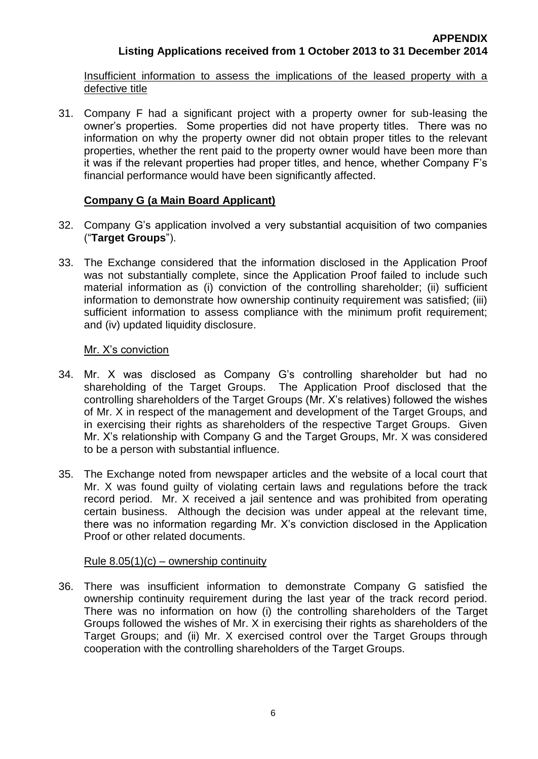Insufficient information to assess the implications of the leased property with a defective title

31. Company F had a significant project with a property owner for sub-leasing the owner's properties. Some properties did not have property titles. There was no information on why the property owner did not obtain proper titles to the relevant properties, whether the rent paid to the property owner would have been more than it was if the relevant properties had proper titles, and hence, whether Company F's financial performance would have been significantly affected.

# **Company G (a Main Board Applicant)**

- 32. Company G's application involved a very substantial acquisition of two companies ("**Target Groups**").
- 33. The Exchange considered that the information disclosed in the Application Proof was not substantially complete, since the Application Proof failed to include such material information as (i) conviction of the controlling shareholder; (ii) sufficient information to demonstrate how ownership continuity requirement was satisfied; (iii) sufficient information to assess compliance with the minimum profit requirement; and (iv) updated liquidity disclosure.

# Mr. X's conviction

- 34. Mr. X was disclosed as Company G's controlling shareholder but had no shareholding of the Target Groups. The Application Proof disclosed that the controlling shareholders of the Target Groups (Mr. X's relatives) followed the wishes of Mr. X in respect of the management and development of the Target Groups, and in exercising their rights as shareholders of the respective Target Groups. Given Mr. X's relationship with Company G and the Target Groups, Mr. X was considered to be a person with substantial influence.
- 35. The Exchange noted from newspaper articles and the website of a local court that Mr. X was found guilty of violating certain laws and regulations before the track record period. Mr. X received a jail sentence and was prohibited from operating certain business. Although the decision was under appeal at the relevant time, there was no information regarding Mr. X's conviction disclosed in the Application Proof or other related documents.

# Rule  $8.05(1)(c)$  – ownership continuity

36. There was insufficient information to demonstrate Company G satisfied the ownership continuity requirement during the last year of the track record period. There was no information on how (i) the controlling shareholders of the Target Groups followed the wishes of Mr. X in exercising their rights as shareholders of the Target Groups; and (ii) Mr. X exercised control over the Target Groups through cooperation with the controlling shareholders of the Target Groups.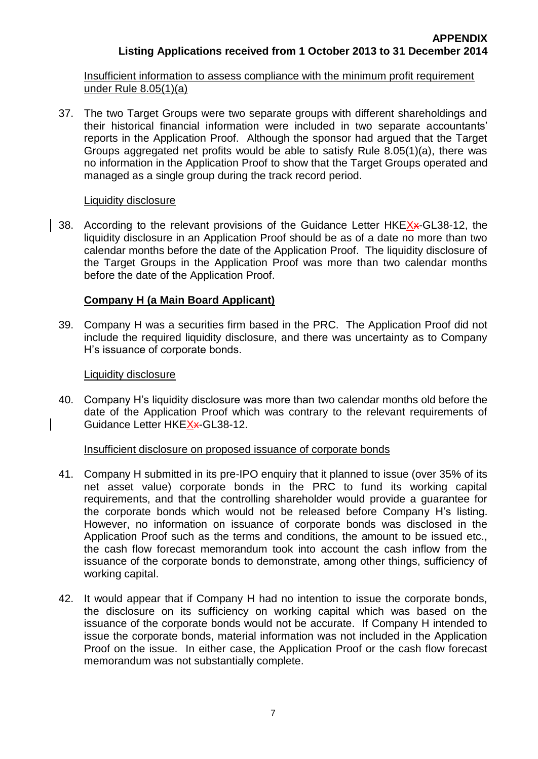Insufficient information to assess compliance with the minimum profit requirement under Rule 8.05(1)(a)

37. The two Target Groups were two separate groups with different shareholdings and their historical financial information were included in two separate accountants' reports in the Application Proof. Although the sponsor had argued that the Target Groups aggregated net profits would be able to satisfy Rule 8.05(1)(a), there was no information in the Application Proof to show that the Target Groups operated and managed as a single group during the track record period.

# Liquidity disclosure

38. According to the relevant provisions of the Guidance Letter HKEXx-GL38-12, the liquidity disclosure in an Application Proof should be as of a date no more than two calendar months before the date of the Application Proof. The liquidity disclosure of the Target Groups in the Application Proof was more than two calendar months before the date of the Application Proof.

# **Company H (a Main Board Applicant)**

39. Company H was a securities firm based in the PRC. The Application Proof did not include the required liquidity disclosure, and there was uncertainty as to Company H's issuance of corporate bonds.

# Liquidity disclosure

40. Company H's liquidity disclosure was more than two calendar months old before the date of the Application Proof which was contrary to the relevant requirements of Guidance Letter HKEX<sub>\*</sub>-GL38-12.

# Insufficient disclosure on proposed issuance of corporate bonds

- 41. Company H submitted in its pre-IPO enquiry that it planned to issue (over 35% of its net asset value) corporate bonds in the PRC to fund its working capital requirements, and that the controlling shareholder would provide a guarantee for the corporate bonds which would not be released before Company H's listing. However, no information on issuance of corporate bonds was disclosed in the Application Proof such as the terms and conditions, the amount to be issued etc., the cash flow forecast memorandum took into account the cash inflow from the issuance of the corporate bonds to demonstrate, among other things, sufficiency of working capital.
- 42. It would appear that if Company H had no intention to issue the corporate bonds, the disclosure on its sufficiency on working capital which was based on the issuance of the corporate bonds would not be accurate. If Company H intended to issue the corporate bonds, material information was not included in the Application Proof on the issue. In either case, the Application Proof or the cash flow forecast memorandum was not substantially complete.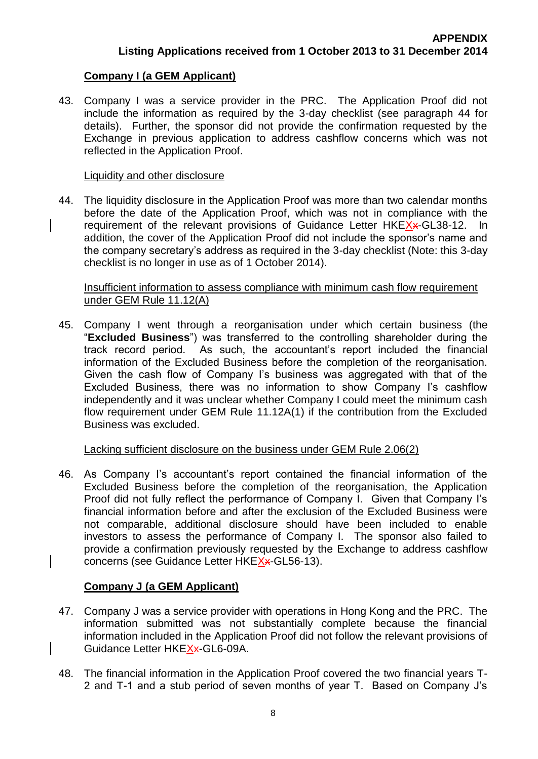# **Company I (a GEM Applicant)**

43. Company I was a service provider in the PRC. The Application Proof did not include the information as required by the 3-day checklist (see paragraph 44 for details). Further, the sponsor did not provide the confirmation requested by the Exchange in previous application to address cashflow concerns which was not reflected in the Application Proof.

#### Liquidity and other disclosure

44. The liquidity disclosure in the Application Proof was more than two calendar months before the date of the Application Proof, which was not in compliance with the requirement of the relevant provisions of Guidance Letter HKEXx-GL38-12. In addition, the cover of the Application Proof did not include the sponsor's name and the company secretary's address as required in the 3-day checklist (Note: this 3-day checklist is no longer in use as of 1 October 2014).

#### Insufficient information to assess compliance with minimum cash flow requirement under GEM Rule 11.12(A)

45. Company I went through a reorganisation under which certain business (the "**Excluded Business**") was transferred to the controlling shareholder during the track record period. As such, the accountant's report included the financial information of the Excluded Business before the completion of the reorganisation. Given the cash flow of Company I's business was aggregated with that of the Excluded Business, there was no information to show Company I's cashflow independently and it was unclear whether Company I could meet the minimum cash flow requirement under GEM Rule 11.12A(1) if the contribution from the Excluded Business was excluded.

#### Lacking sufficient disclosure on the business under GEM Rule 2.06(2)

46. As Company I's accountant's report contained the financial information of the Excluded Business before the completion of the reorganisation, the Application Proof did not fully reflect the performance of Company I. Given that Company I's financial information before and after the exclusion of the Excluded Business were not comparable, additional disclosure should have been included to enable investors to assess the performance of Company I. The sponsor also failed to provide a confirmation previously requested by the Exchange to address cashflow concerns (see Guidance Letter HKEXx-GL56-13).

# **Company J (a GEM Applicant)**

- 47. Company J was a service provider with operations in Hong Kong and the PRC. The information submitted was not substantially complete because the financial information included in the Application Proof did not follow the relevant provisions of Guidance Letter HKEXx-GL6-09A.
- 48. The financial information in the Application Proof covered the two financial years T-2 and T-1 and a stub period of seven months of year T. Based on Company J's